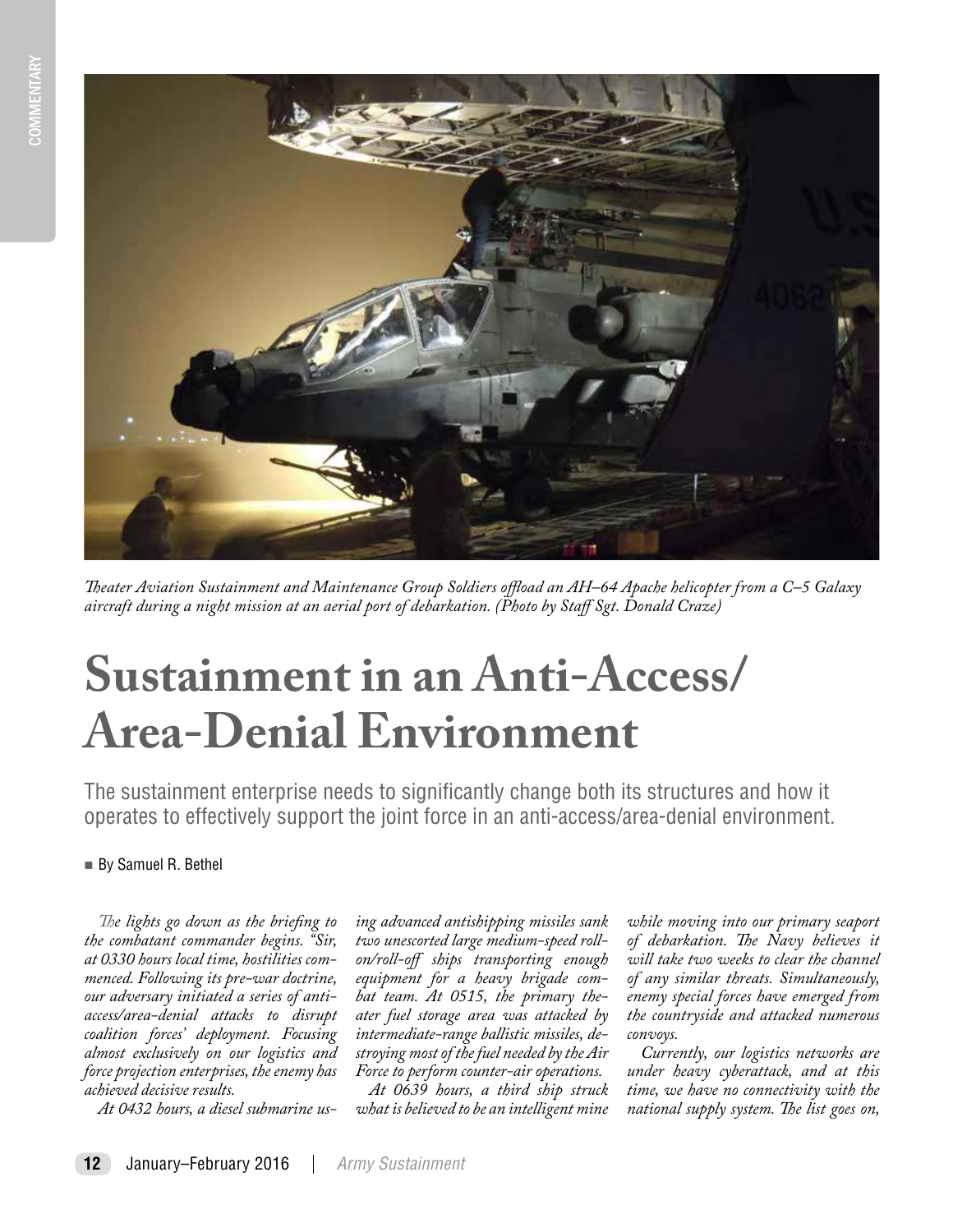

*Theater Aviation Sustainment and Maintenance Group Soldiers offload an AH–64 Apache helicopter from a C–5 Galaxy aircraft during a night mission at an aerial port of debarkation. (Photo by Staff Sgt. Donald Craze)*

# **Sustainment in an Anti-Access/ Area-Denial Environment**

The sustainment enterprise needs to significantly change both its structures and how it operates to effectively support the joint force in an anti-access/area-denial environment.

# By Samuel R. Bethel

*The lights go down as the briefing to the combatant commander begins. "Sir, at 0330 hours local time, hostilities commenced. Following its pre-war doctrine, our adversary initiated a series of antiaccess/area-denial attacks to disrupt coalition forces' deployment. Focusing almost exclusively on our logistics and force projection enterprises, the enemy has achieved decisive results.* 

*At 0432 hours, a diesel submarine us-*

*ing advanced antishipping missiles sank two unescorted large medium-speed rollon/roll-off ships transporting enough equipment for a heavy brigade combat team. At 0515, the primary theater fuel storage area was attacked by intermediate-range ballistic missiles, destroying most of the fuel needed by the Air Force to perform counter-air operations.* 

*At 0639 hours, a third ship struck what is believed to be an intelligent mine* 

*while moving into our primary seaport of debarkation. The Navy believes it will take two weeks to clear the channel of any similar threats. Simultaneously, enemy special forces have emerged from the countryside and attacked numerous convoys.* 

*Currently, our logistics networks are under heavy cyberattack, and at this time, we have no connectivity with the national supply system. The list goes on,*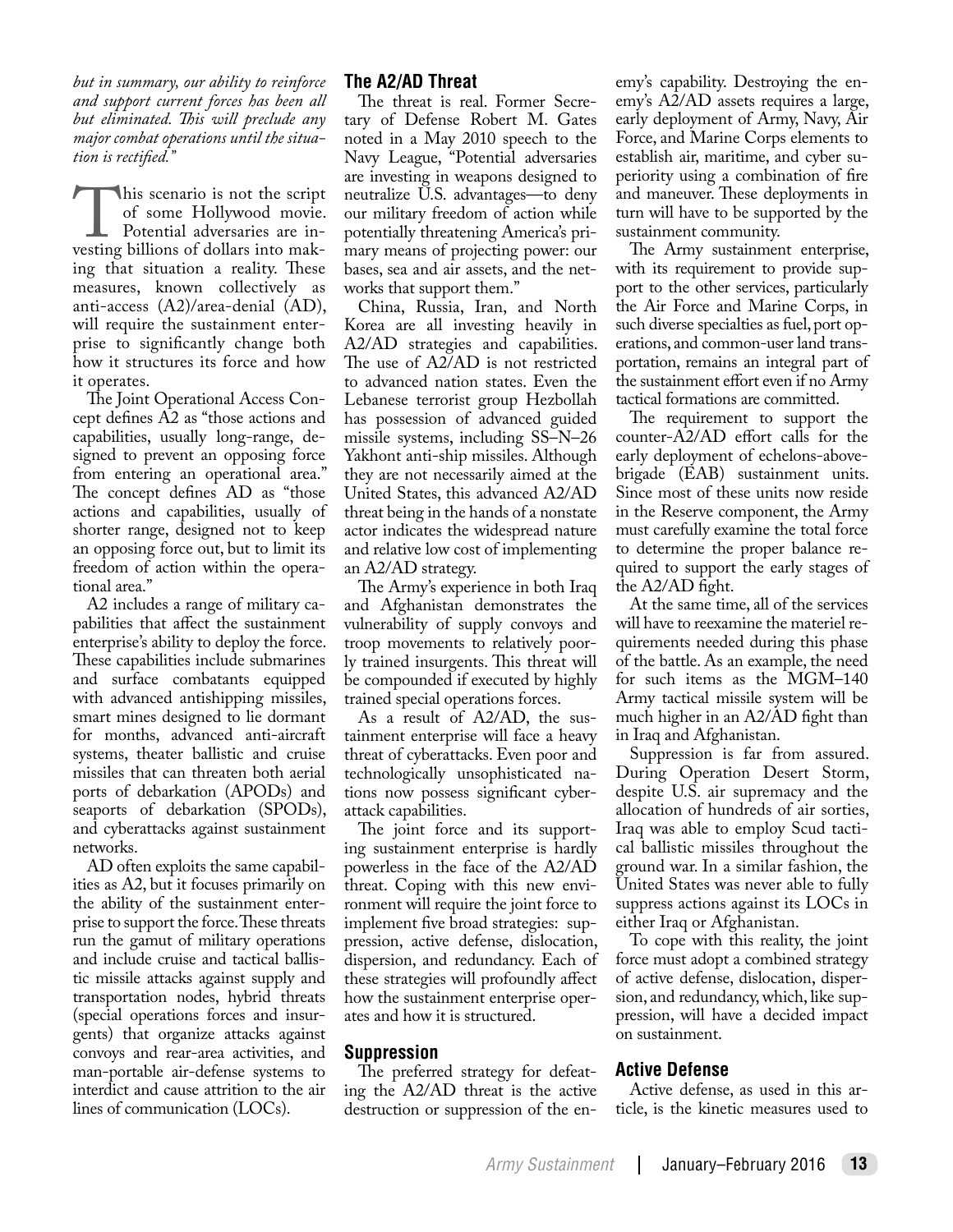*but in summary, our ability to reinforce and support current forces has been all but eliminated. This will preclude any major combat operations until the situation is rectified."*

This scenario is not the script<br>of some Hollywood movie.<br>Potential adversaries are in-<br>vesting billions of dollars into makof some Hollywood movie. Potential adversaries are investing billions of dollars into making that situation a reality. These measures, known collectively as anti-access (A2)/area-denial (AD), will require the sustainment enterprise to significantly change both how it structures its force and how it operates.

The Joint Operational Access Concept defines A2 as "those actions and capabilities, usually long-range, designed to prevent an opposing force from entering an operational area." The concept defines AD as "those actions and capabilities, usually of shorter range, designed not to keep an opposing force out, but to limit its freedom of action within the operational area."

A2 includes a range of military capabilities that affect the sustainment enterprise's ability to deploy the force. These capabilities include submarines and surface combatants equipped with advanced antishipping missiles, smart mines designed to lie dormant for months, advanced anti-aircraft systems, theater ballistic and cruise missiles that can threaten both aerial ports of debarkation (APODs) and seaports of debarkation (SPODs), and cyberattacks against sustainment networks.

AD often exploits the same capabilities as A2, but it focuses primarily on the ability of the sustainment enterprise to support the force. These threats run the gamut of military operations and include cruise and tactical ballistic missile attacks against supply and transportation nodes, hybrid threats (special operations forces and insurgents) that organize attacks against convoys and rear-area activities, and man-portable air-defense systems to interdict and cause attrition to the air lines of communication (LOCs).

# **The A2/AD Threat**

The threat is real. Former Secretary of Defense Robert M. Gates noted in a May 2010 speech to the Navy League, "Potential adversaries are investing in weapons designed to neutralize U.S. advantages—to deny our military freedom of action while potentially threatening America's primary means of projecting power: our bases, sea and air assets, and the networks that support them."

China, Russia, Iran, and North Korea are all investing heavily in A2/AD strategies and capabilities. The use of A2/AD is not restricted to advanced nation states. Even the Lebanese terrorist group Hezbollah has possession of advanced guided missile systems, including SS–N–26 Yakhont anti-ship missiles. Although they are not necessarily aimed at the United States, this advanced A2/AD threat being in the hands of a nonstate actor indicates the widespread nature and relative low cost of implementing an A2/AD strategy.

The Army's experience in both Iraq and Afghanistan demonstrates the vulnerability of supply convoys and troop movements to relatively poorly trained insurgents. This threat will be compounded if executed by highly trained special operations forces.

As a result of A2/AD, the sustainment enterprise will face a heavy threat of cyberattacks. Even poor and technologically unsophisticated nations now possess significant cyberattack capabilities.

The joint force and its supporting sustainment enterprise is hardly powerless in the face of the A2/AD threat. Coping with this new environment will require the joint force to implement five broad strategies: suppression, active defense, dislocation, dispersion, and redundancy. Each of these strategies will profoundly affect how the sustainment enterprise operates and how it is structured.

## **Suppression**

The preferred strategy for defeating the A2/AD threat is the active destruction or suppression of the en-

emy's capability. Destroying the enemy's A2/AD assets requires a large, early deployment of Army, Navy, Air Force, and Marine Corps elements to establish air, maritime, and cyber superiority using a combination of fire and maneuver. These deployments in turn will have to be supported by the sustainment community.

The Army sustainment enterprise, with its requirement to provide support to the other services, particularly the Air Force and Marine Corps, in such diverse specialties as fuel, port operations, and common-user land transportation, remains an integral part of the sustainment effort even if no Army tactical formations are committed.

The requirement to support the counter-A2/AD effort calls for the early deployment of echelons-abovebrigade (EAB) sustainment units. Since most of these units now reside in the Reserve component, the Army must carefully examine the total force to determine the proper balance required to support the early stages of the A2/AD fight.

At the same time, all of the services will have to reexamine the materiel requirements needed during this phase of the battle. As an example, the need for such items as the MGM–140 Army tactical missile system will be much higher in an A2/AD fight than in Iraq and Afghanistan.

Suppression is far from assured. During Operation Desert Storm, despite U.S. air supremacy and the allocation of hundreds of air sorties, Iraq was able to employ Scud tactical ballistic missiles throughout the ground war. In a similar fashion, the United States was never able to fully suppress actions against its LOCs in either Iraq or Afghanistan.

To cope with this reality, the joint force must adopt a combined strategy of active defense, dislocation, dispersion, and redundancy, which, like suppression, will have a decided impact on sustainment.

# **Active Defense**

Active defense, as used in this article, is the kinetic measures used to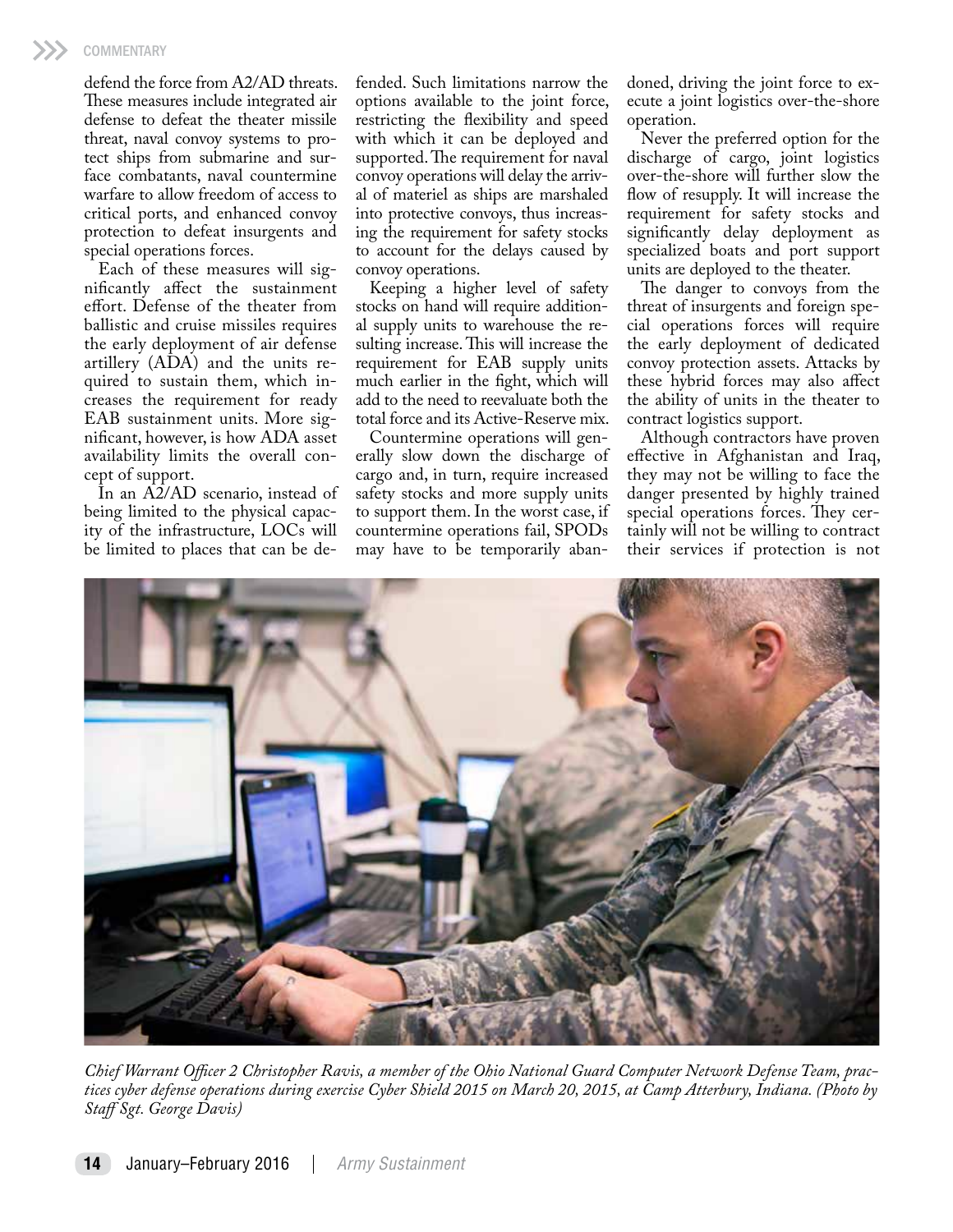defend the force from A2/AD threats. These measures include integrated air defense to defeat the theater missile threat, naval convoy systems to protect ships from submarine and surface combatants, naval countermine warfare to allow freedom of access to critical ports, and enhanced convoy protection to defeat insurgents and special operations forces.

Each of these measures will significantly affect the sustainment effort. Defense of the theater from ballistic and cruise missiles requires the early deployment of air defense artillery (ADA) and the units required to sustain them, which increases the requirement for ready EAB sustainment units. More significant, however, is how ADA asset availability limits the overall concept of support.

In an A2/AD scenario, instead of being limited to the physical capacity of the infrastructure, LOCs will be limited to places that can be defended. Such limitations narrow the options available to the joint force, restricting the flexibility and speed with which it can be deployed and supported. The requirement for naval convoy operations will delay the arrival of materiel as ships are marshaled into protective convoys, thus increasing the requirement for safety stocks to account for the delays caused by convoy operations.

Keeping a higher level of safety stocks on hand will require additional supply units to warehouse the resulting increase. This will increase the requirement for EAB supply units much earlier in the fight, which will add to the need to reevaluate both the total force and its Active-Reserve mix.

Countermine operations will generally slow down the discharge of cargo and, in turn, require increased safety stocks and more supply units to support them. In the worst case, if countermine operations fail, SPODs may have to be temporarily abandoned, driving the joint force to execute a joint logistics over-the-shore operation.

Never the preferred option for the discharge of cargo, joint logistics over-the-shore will further slow the flow of resupply. It will increase the requirement for safety stocks and significantly delay deployment as specialized boats and port support units are deployed to the theater.

The danger to convoys from the threat of insurgents and foreign special operations forces will require the early deployment of dedicated convoy protection assets. Attacks by these hybrid forces may also affect the ability of units in the theater to contract logistics support.

Although contractors have proven effective in Afghanistan and Iraq, they may not be willing to face the danger presented by highly trained special operations forces. They certainly will not be willing to contract their services if protection is not



*Chief Warrant Officer 2 Christopher Ravis, a member of the Ohio National Guard Computer Network Defense Team, practices cyber defense operations during exercise Cyber Shield 2015 on March 20, 2015, at Camp Atterbury, Indiana. (Photo by Staff Sgt. George Davis)*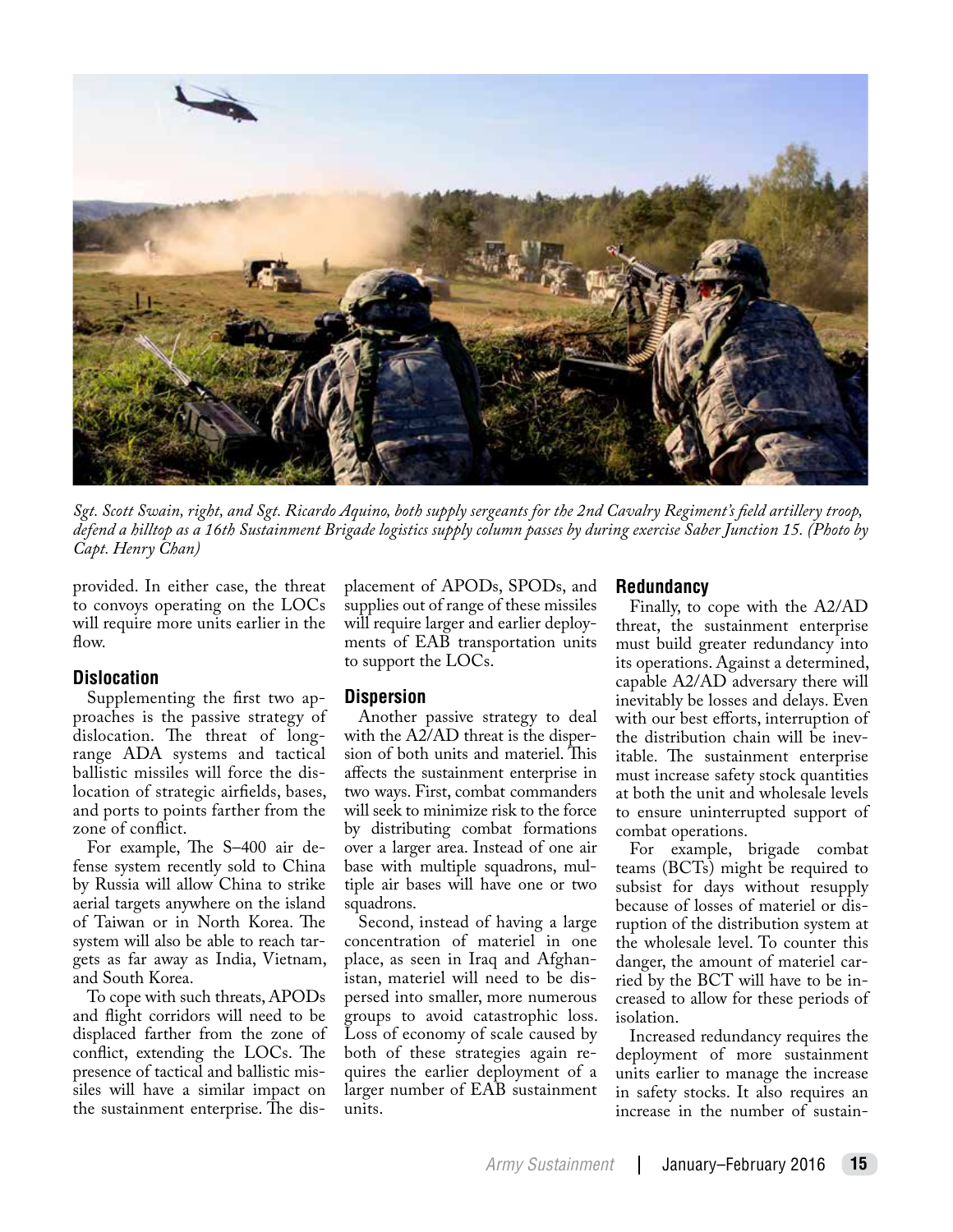

*Sgt. Scott Swain, right, and Sgt. Ricardo Aquino, both supply sergeants for the 2nd Cavalry Regiment's field artillery troop, defend a hilltop as a 16th Sustainment Brigade logistics supply column passes by during exercise Saber Junction 15. (Photo by Capt. Henry Chan)*

provided. In either case, the threat to convoys operating on the LOCs will require more units earlier in the  $f_{\text{low}}$ 

#### **Dislocation**

Supplementing the first two approaches is the passive strategy of dislocation. The threat of longrange ADA systems and tactical ballistic missiles will force the dislocation of strategic airfields, bases, and ports to points farther from the zone of conflict.

For example, The S–400 air defense system recently sold to China by Russia will allow China to strike aerial targets anywhere on the island of Taiwan or in North Korea. The system will also be able to reach targets as far away as India, Vietnam, and South Korea.

To cope with such threats, APODs and flight corridors will need to be displaced farther from the zone of conflict, extending the LOCs. The presence of tactical and ballistic missiles will have a similar impact on the sustainment enterprise. The displacement of APODs, SPODs, and supplies out of range of these missiles will require larger and earlier deployments of EAB transportation units to support the LOCs.

## **Dispersion**

Another passive strategy to deal with the A2/AD threat is the dispersion of both units and materiel. This affects the sustainment enterprise in two ways. First, combat commanders will seek to minimize risk to the force by distributing combat formations over a larger area. Instead of one air base with multiple squadrons, multiple air bases will have one or two squadrons.

Second, instead of having a large concentration of materiel in one place, as seen in Iraq and Afghanistan, materiel will need to be dispersed into smaller, more numerous groups to avoid catastrophic loss. Loss of economy of scale caused by both of these strategies again requires the earlier deployment of a larger number of EAB sustainment units.

#### **Redundancy**

Finally, to cope with the A2/AD threat, the sustainment enterprise must build greater redundancy into its operations. Against a determined, capable A2/AD adversary there will inevitably be losses and delays. Even with our best efforts, interruption of the distribution chain will be inevitable. The sustainment enterprise must increase safety stock quantities at both the unit and wholesale levels to ensure uninterrupted support of combat operations.

For example, brigade combat teams (BCTs) might be required to subsist for days without resupply because of losses of materiel or disruption of the distribution system at the wholesale level. To counter this danger, the amount of materiel carried by the BCT will have to be increased to allow for these periods of isolation.

Increased redundancy requires the deployment of more sustainment units earlier to manage the increase in safety stocks. It also requires an increase in the number of sustain-